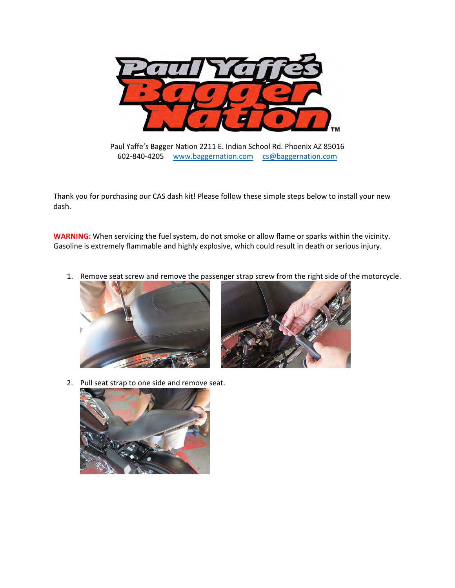

Paul Yaffe's Bagger Nation 2211 E. Indian School Rd. Phoenix AZ 85016 602‐840‐4205 www.baggernation.com cs@baggernation.com

Thank you for purchasing our CAS dash kit! Please follow these simple steps below to install your new dash.

**WARNING:** When servicing the fuel system, do not smoke or allow flame or sparks within the vicinity. Gasoline is extremely flammable and highly explosive, which could result in death or serious injury.

1. Remove seat screw and remove the passenger strap screw from the right side of the motorcycle.





2. Pull seat strap to one side and remove seat.

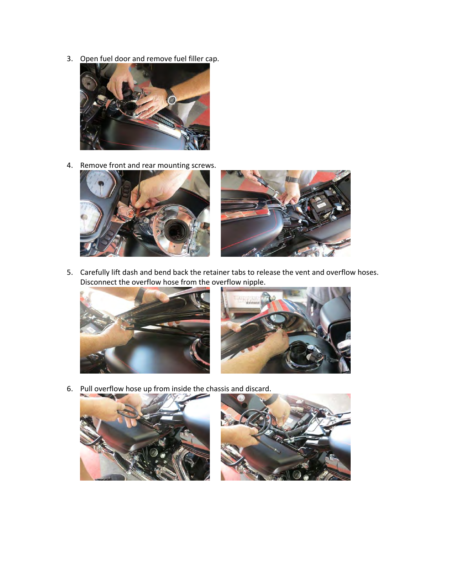3. Open fuel door and remove fuel filler cap.



4. Remove front and rear mounting screws.



5. Carefully lift dash and bend back the retainer tabs to release the vent and overflow hoses. Disconnect the overflow hose from the overflow nipple.





6. Pull overflow hose up from inside the chassis and discard.



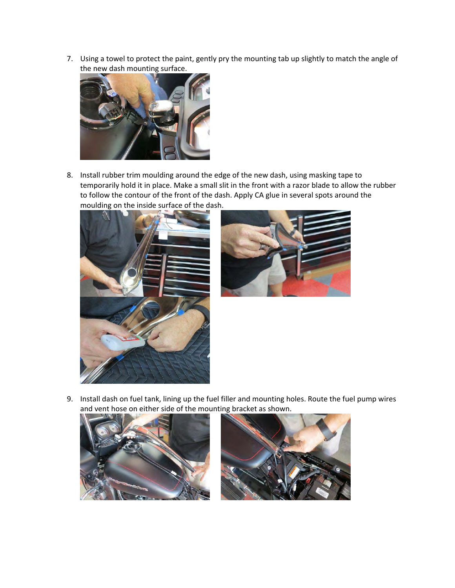7. Using a towel to protect the paint, gently pry the mounting tab up slightly to match the angle of the new dash mounting surface.



8. Install rubber trim moulding around the edge of the new dash, using masking tape to temporarily hold it in place. Make a small slit in the front with a razor blade to allow the rubber to follow the contour of the front of the dash. Apply CA glue in several spots around the moulding on the inside surface of the dash.





9. Install dash on fuel tank, lining up the fuel filler and mounting holes. Route the fuel pump wires and vent hose on either side of the mounting bracket as shown.